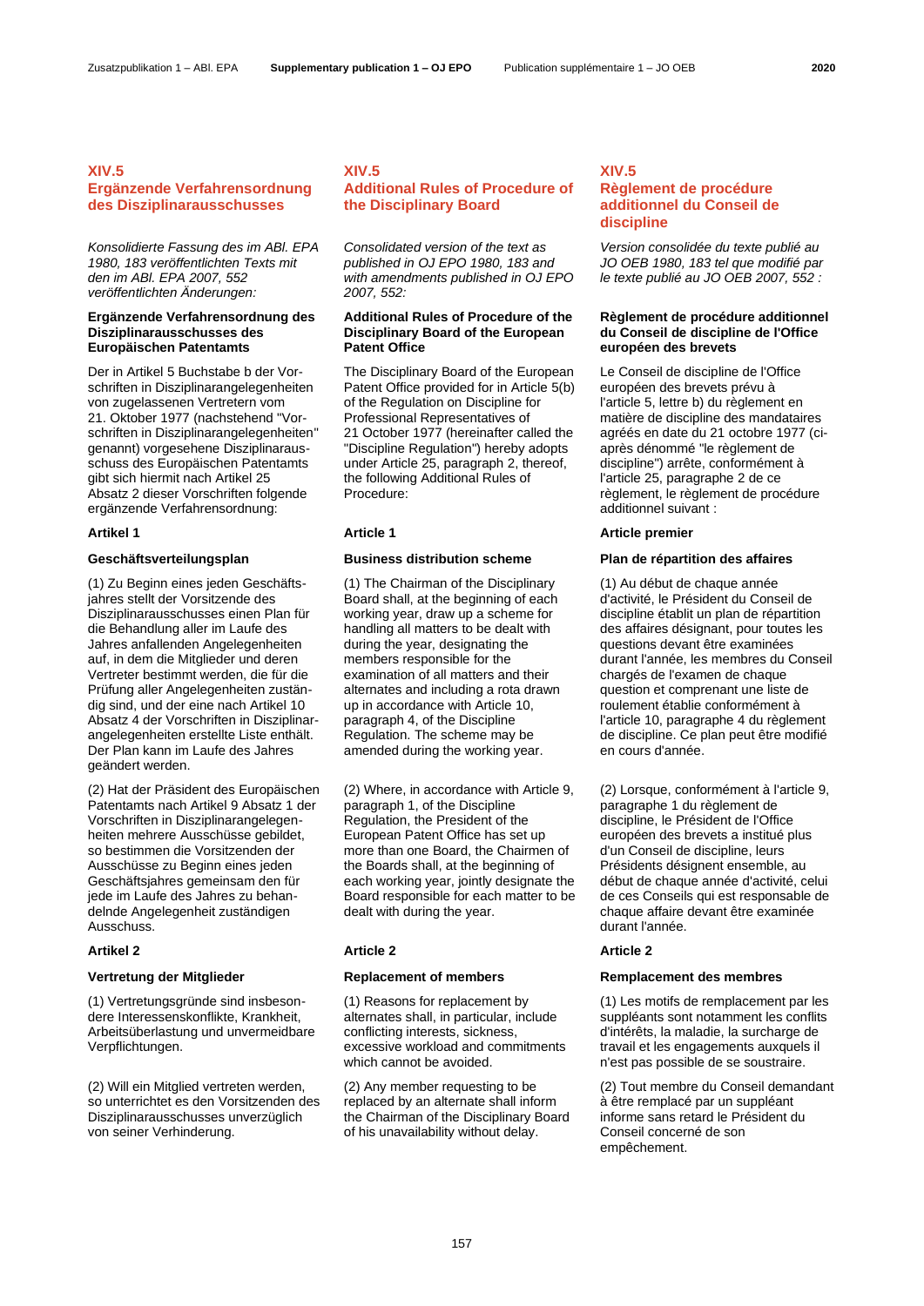## **XIV.5**

# **Ergänzende Verfahrensordnung des Disziplinarausschusses**

*Konsolidierte Fassung des im ABl. EPA 1980, 183 veröffentlichten Texts mit den im ABl. EPA 2007, 552 veröffentlichten Änderungen:*

## **Ergänzende Verfahrensordnung des Disziplinarausschusses des Europäischen Patentamts**

Der in Artikel 5 Buchstabe b der Vorschriften in Disziplinarangelegenheiten von zugelassenen Vertretern vom 21. Oktober 1977 (nachstehend "Vorschriften in Disziplinarangelegenheiten" genannt) vorgesehene Disziplinarausschuss des Europäischen Patentamts gibt sich hiermit nach Artikel 25 Absatz 2 dieser Vorschriften folgende ergänzende Verfahrensordnung:

(1) Zu Beginn eines jeden Geschäftsjahres stellt der Vorsitzende des Disziplinarausschusses einen Plan für die Behandlung aller im Laufe des Jahres anfallenden Angelegenheiten auf, in dem die Mitglieder und deren Vertreter bestimmt werden, die für die Prüfung aller Angelegenheiten zuständig sind, und der eine nach Artikel 10 Absatz 4 der Vorschriften in Disziplinarangelegenheiten erstellte Liste enthält. Der Plan kann im Laufe des Jahres geändert werden.

(2) Hat der Präsident des Europäischen Patentamts nach Artikel 9 Absatz 1 der Vorschriften in Disziplinarangelegenheiten mehrere Ausschüsse gebildet, so bestimmen die Vorsitzenden der Ausschüsse zu Beginn eines jeden Geschäftsjahres gemeinsam den für jede im Laufe des Jahres zu behandelnde Angelegenheit zuständigen Ausschuss.

(1) Vertretungsgründe sind insbesondere Interessenskonflikte, Krankheit, Arbeitsüberlastung und unvermeidbare Verpflichtungen.

(2) Will ein Mitglied vertreten werden, so unterrichtet es den Vorsitzenden des Disziplinarausschusses unverzüglich von seiner Verhinderung.

# **XIV.5 Additional Rules of Procedure of the Disciplinary Board**

*Consolidated version of the text as published in OJ EPO 1980, 183 and with amendments published in OJ EPO 2007, 552:*

## **Additional Rules of Procedure of the Disciplinary Board of the European Patent Office**

The Disciplinary Board of the European Patent Office provided for in Article 5(b) of the Regulation on Discipline for Professional Representatives of 21 October 1977 (hereinafter called the "Discipline Regulation") hereby adopts under Article 25, paragraph 2, thereof, the following Additional Rules of Procedure:

(1) The Chairman of the Disciplinary Board shall, at the beginning of each working year, draw up a scheme for handling all matters to be dealt with during the year, designating the members responsible for the examination of all matters and their alternates and including a rota drawn up in accordance with Article 10, paragraph 4, of the Discipline Regulation. The scheme may be amended during the working year.

(2) Where, in accordance with Article 9, paragraph 1, of the Discipline Regulation, the President of the European Patent Office has set up more than one Board, the Chairmen of the Boards shall, at the beginning of each working year, jointly designate the Board responsible for each matter to be dealt with during the year.

### **Artikel 2 Article 2 Article 2**

(1) Reasons for replacement by alternates shall, in particular, include conflicting interests, sickness, excessive workload and commitments which cannot be avoided.

(2) Any member requesting to be replaced by an alternate shall inform the Chairman of the Disciplinary Board of his unavailability without delay.

# **XIV.5 Règlement de procédure additionnel du Conseil de discipline**

*Version consolidée du texte publié au JO OEB 1980, 183 tel que modifié par le texte publié au JO OEB 2007, 552 :*

## **Règlement de procédure additionnel du Conseil de discipline de l'Office européen des brevets**

Le Conseil de discipline de l'Office européen des brevets prévu à l'article 5, lettre b) du règlement en matière de discipline des mandataires agréés en date du 21 octobre 1977 (ciaprès dénommé "le règlement de discipline") arrête, conformément à l'article 25, paragraphe 2 de ce règlement, le règlement de procédure additionnel suivant :

## **Artikel 1 Article 1 Article premier**

## **Geschäftsverteilungsplan Business distribution scheme Plan de répartition des affaires**

(1) Au début de chaque année d'activité, le Président du Conseil de discipline établit un plan de répartition des affaires désignant, pour toutes les questions devant être examinées durant l'année, les membres du Conseil chargés de l'examen de chaque question et comprenant une liste de roulement établie conformément à l'article 10, paragraphe 4 du règlement de discipline. Ce plan peut être modifié en cours d'année.

(2) Lorsque, conformément à l'article 9, paragraphe 1 du règlement de discipline, le Président de l'Office européen des brevets a institué plus d'un Conseil de discipline, leurs Présidents désignent ensemble, au début de chaque année d'activité, celui de ces Conseils qui est responsable de chaque affaire devant être examinée durant l'année.

## **Vertretung der Mitglieder Replacement of members Remplacement des membres**

(1) Les motifs de remplacement par les suppléants sont notamment les conflits d'intérêts, la maladie, la surcharge de travail et les engagements auxquels il n'est pas possible de se soustraire.

(2) Tout membre du Conseil demandant à être remplacé par un suppléant informe sans retard le Président du Conseil concerné de son empêchement.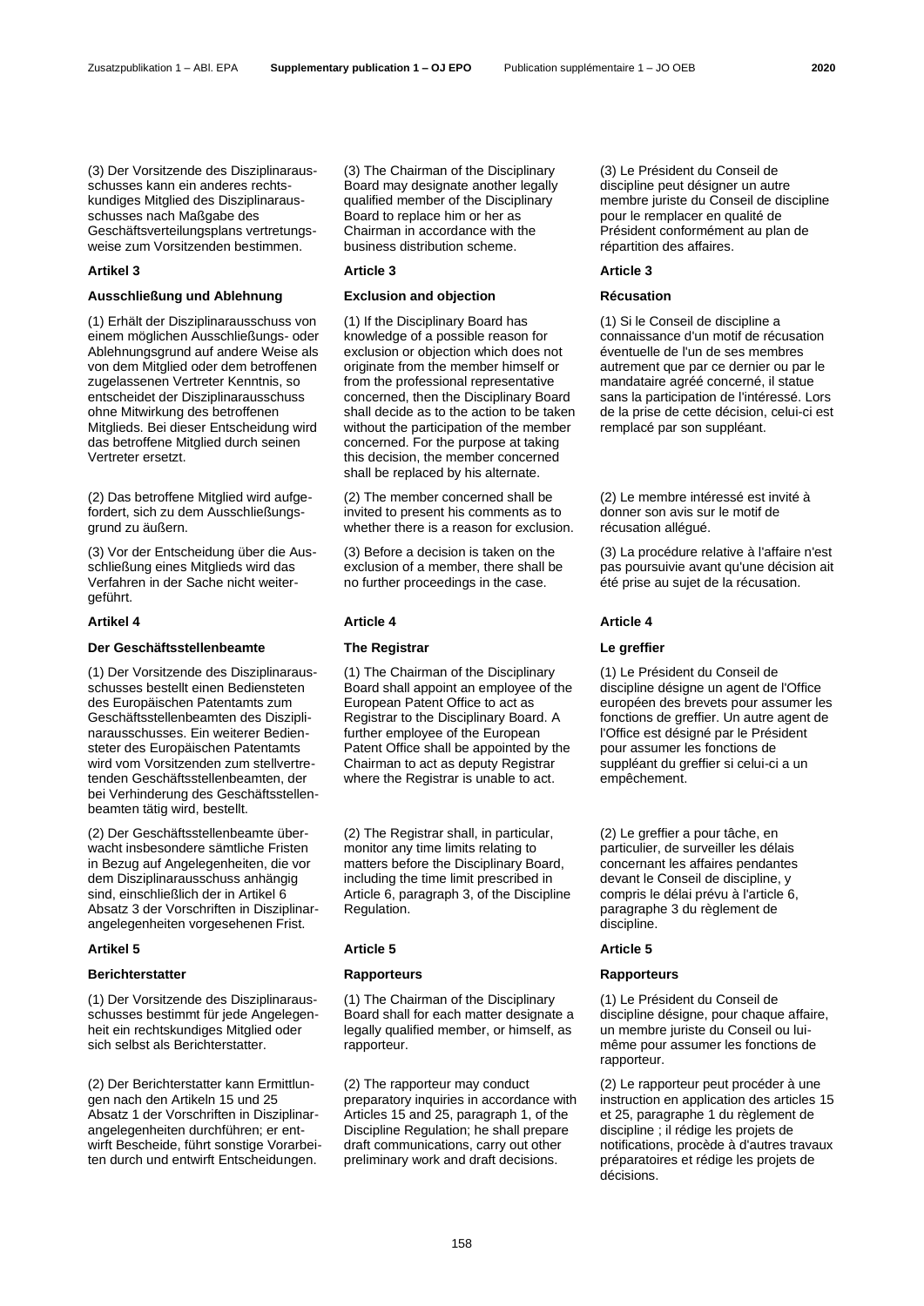(3) Der Vorsitzende des Disziplinarausschusses kann ein anderes rechtskundiges Mitglied des Disziplinarausschusses nach Maßgabe des Geschäftsverteilungsplans vertretungsweise zum Vorsitzenden bestimmen.

## **Artikel 3 Article 3 Article 3**

# **Ausschließung und Ablehnung Exclusion and objection Récusation**

(1) Erhält der Disziplinarausschuss von einem möglichen Ausschließungs- oder Ablehnungsgrund auf andere Weise als von dem Mitglied oder dem betroffenen zugelassenen Vertreter Kenntnis, so entscheidet der Disziplinarausschuss ohne Mitwirkung des betroffenen Mitglieds. Bei dieser Entscheidung wird das betroffene Mitglied durch seinen Vertreter ersetzt.

(2) Das betroffene Mitglied wird aufgefordert, sich zu dem Ausschließungsgrund zu äußern.

(3) Vor der Entscheidung über die Ausschließung eines Mitglieds wird das Verfahren in der Sache nicht weitergeführt.

## **Der Geschäftsstellenbeamte The Registrar Le greffier**

(1) Der Vorsitzende des Disziplinarausschusses bestellt einen Bediensteten des Europäischen Patentamts zum Geschäftsstellenbeamten des Disziplinarausschusses. Ein weiterer Bediensteter des Europäischen Patentamts wird vom Vorsitzenden zum stellvertretenden Geschäftsstellenbeamten, der bei Verhinderung des Geschäftsstellenbeamten tätig wird, bestellt.

(2) Der Geschäftsstellenbeamte überwacht insbesondere sämtliche Fristen in Bezug auf Angelegenheiten, die vor dem Disziplinarausschuss anhängig sind, einschließlich der in Artikel 6 Absatz 3 der Vorschriften in Disziplinarangelegenheiten vorgesehenen Frist.

## **Berichterstatter Rapporteurs Rapporteurs**

(1) Der Vorsitzende des Disziplinarausschusses bestimmt für jede Angelegenheit ein rechtskundiges Mitglied oder sich selbst als Berichterstatter.

(2) Der Berichterstatter kann Ermittlungen nach den Artikeln 15 und 25 Absatz 1 der Vorschriften in Disziplinarangelegenheiten durchführen; er entwirft Bescheide, führt sonstige Vorarbeiten durch und entwirft Entscheidungen.

(3) The Chairman of the Disciplinary Board may designate another legally qualified member of the Disciplinary Board to replace him or her as Chairman in accordance with the business distribution scheme.

(1) If the Disciplinary Board has knowledge of a possible reason for exclusion or objection which does not originate from the member himself or from the professional representative concerned, then the Disciplinary Board shall decide as to the action to be taken without the participation of the member concerned. For the purpose at taking this decision, the member concerned shall be replaced by his alternate.

(2) The member concerned shall be invited to present his comments as to whether there is a reason for exclusion.

(3) Before a decision is taken on the exclusion of a member, there shall be no further proceedings in the case.

(1) The Chairman of the Disciplinary Board shall appoint an employee of the European Patent Office to act as Registrar to the Disciplinary Board. A further employee of the European Patent Office shall be appointed by the Chairman to act as deputy Registrar where the Registrar is unable to act.

(2) The Registrar shall, in particular, monitor any time limits relating to matters before the Disciplinary Board, including the time limit prescribed in Article 6, paragraph 3, of the Discipline Regulation.

## **Artikel 5 Article 5 Article 5**

(1) The Chairman of the Disciplinary Board shall for each matter designate a legally qualified member, or himself, as rapporteur.

(2) The rapporteur may conduct preparatory inquiries in accordance with Articles 15 and 25, paragraph 1, of the Discipline Regulation; he shall prepare draft communications, carry out other preliminary work and draft decisions.

(3) Le Président du Conseil de discipline peut désigner un autre membre juriste du Conseil de discipline pour le remplacer en qualité de Président conformément au plan de répartition des affaires.

(1) Si le Conseil de discipline a connaissance d'un motif de récusation éventuelle de l'un de ses membres autrement que par ce dernier ou par le mandataire agréé concerné, il statue sans la participation de l'intéressé. Lors de la prise de cette décision, celui-ci est remplacé par son suppléant.

(2) Le membre intéressé est invité à donner son avis sur le motif de récusation allégué.

(3) La procédure relative à l'affaire n'est pas poursuivie avant qu'une décision ait été prise au sujet de la récusation.

## **Artikel 4 Article 4 Article 4**

(1) Le Président du Conseil de discipline désigne un agent de l'Office européen des brevets pour assumer les fonctions de greffier. Un autre agent de l'Office est désigné par le Président pour assumer les fonctions de suppléant du greffier si celui-ci a un empêchement.

(2) Le greffier a pour tâche, en particulier, de surveiller les délais concernant les affaires pendantes devant le Conseil de discipline, y compris le délai prévu à l'article 6, paragraphe 3 du règlement de discipline.

(1) Le Président du Conseil de discipline désigne, pour chaque affaire, un membre juriste du Conseil ou luimême pour assumer les fonctions de rapporteur.

(2) Le rapporteur peut procéder à une instruction en application des articles 15 et 25, paragraphe 1 du règlement de discipline ; il rédige les projets de notifications, procède à d'autres travaux préparatoires et rédige les projets de décisions.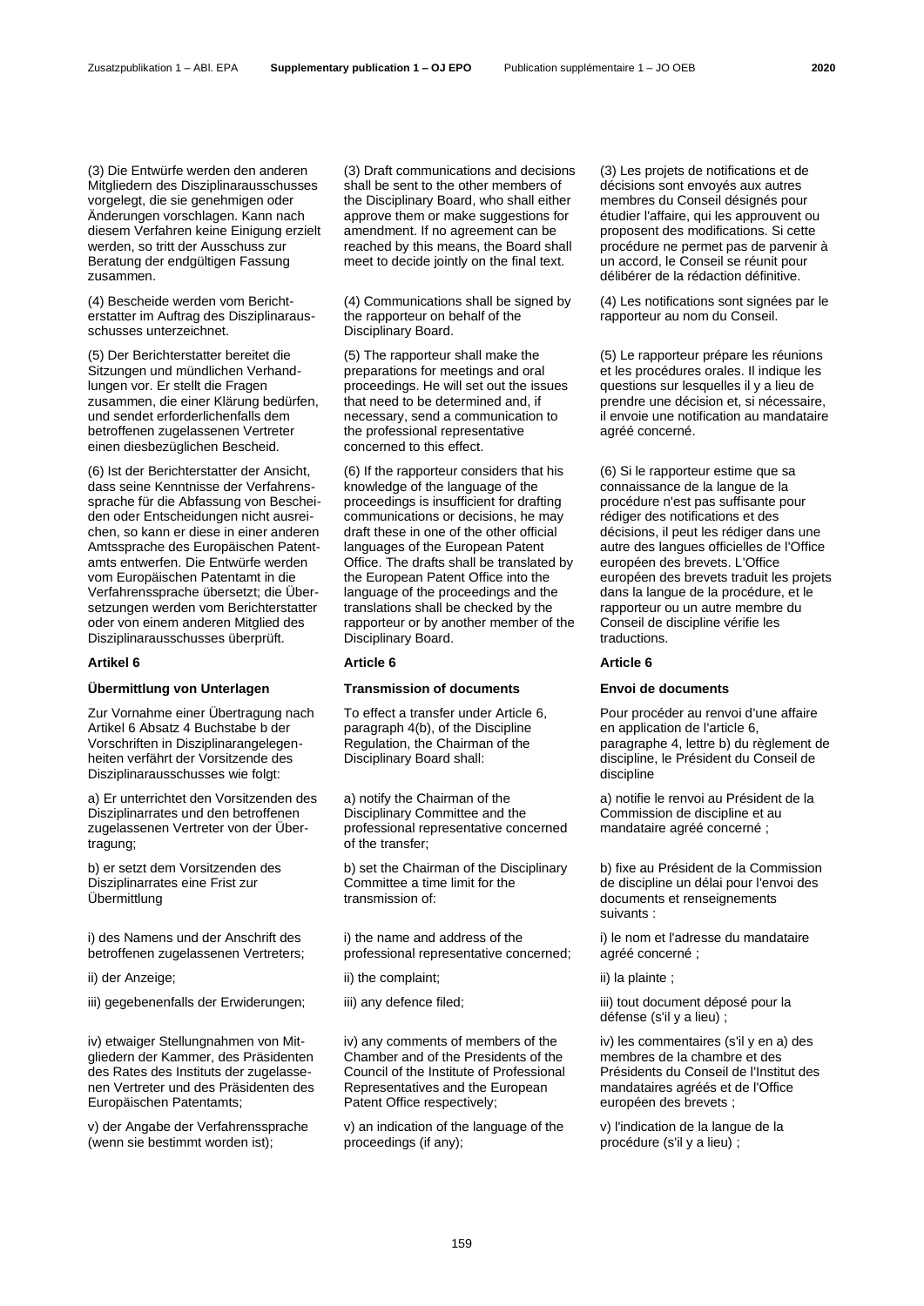(3) Die Entwürfe werden den anderen Mitgliedern des Disziplinarausschusses vorgelegt, die sie genehmigen oder Änderungen vorschlagen. Kann nach diesem Verfahren keine Einigung erzielt werden, so tritt der Ausschuss zur Beratung der endgültigen Fassung zusammen.

(4) Bescheide werden vom Berichterstatter im Auftrag des Disziplinarausschusses unterzeichnet.

(5) Der Berichterstatter bereitet die Sitzungen und mündlichen Verhandlungen vor. Er stellt die Fragen zusammen, die einer Klärung bedürfen, und sendet erforderlichenfalls dem betroffenen zugelassenen Vertreter einen diesbezüglichen Bescheid.

(6) Ist der Berichterstatter der Ansicht, dass seine Kenntnisse der Verfahrenssprache für die Abfassung von Bescheiden oder Entscheidungen nicht ausreichen, so kann er diese in einer anderen Amtssprache des Europäischen Patentamts entwerfen. Die Entwürfe werden vom Europäischen Patentamt in die Verfahrenssprache übersetzt; die Übersetzungen werden vom Berichterstatter oder von einem anderen Mitglied des Disziplinarausschusses überprüft.

# **Übermittlung von Unterlagen Transmission of documents Envoi de documents**

Zur Vornahme einer Übertragung nach Artikel 6 Absatz 4 Buchstabe b der Vorschriften in Disziplinarangelegenheiten verfährt der Vorsitzende des Disziplinarausschusses wie folgt:

a) Er unterrichtet den Vorsitzenden des Disziplinarrates und den betroffenen zugelassenen Vertreter von der Übertragung;

b) er setzt dem Vorsitzenden des Disziplinarrates eine Frist zur Übermittlung

i) des Namens und der Anschrift des betroffenen zugelassenen Vertreters;

ii) der Anzeige; iii) the complaint; iii) la plainte ; iii) la plainte ; iiii) la plainte ;

iv) etwaiger Stellungnahmen von Mitgliedern der Kammer, des Präsidenten des Rates des Instituts der zugelassenen Vertreter und des Präsidenten des Europäischen Patentamts;

v) der Angabe der Verfahrenssprache (wenn sie bestimmt worden ist);

(3) Draft communications and decisions shall be sent to the other members of the Disciplinary Board, who shall either approve them or make suggestions for amendment. If no agreement can be reached by this means, the Board shall meet to decide jointly on the final text.

(4) Communications shall be signed by the rapporteur on behalf of the Disciplinary Board.

(5) The rapporteur shall make the preparations for meetings and oral proceedings. He will set out the issues that need to be determined and, if necessary, send a communication to the professional representative concerned to this effect.

(6) If the rapporteur considers that his knowledge of the language of the proceedings is insufficient for drafting communications or decisions, he may draft these in one of the other official languages of the European Patent Office. The drafts shall be translated by the European Patent Office into the language of the proceedings and the translations shall be checked by the rapporteur or by another member of the Disciplinary Board.

## **Artikel 6 Article 6 Article 6**

To effect a transfer under Article 6, paragraph 4(b), of the Discipline Regulation, the Chairman of the Disciplinary Board shall:

a) notify the Chairman of the Disciplinary Committee and the professional representative concerned of the transfer;

b) set the Chairman of the Disciplinary Committee a time limit for the transmission of:

i) the name and address of the professional representative concerned;

iv) any comments of members of the Chamber and of the Presidents of the Council of the Institute of Professional Representatives and the European Patent Office respectively;

v) an indication of the language of the proceedings (if any);

(3) Les projets de notifications et de décisions sont envoyés aux autres membres du Conseil désignés pour étudier l'affaire, qui les approuvent ou proposent des modifications. Si cette procédure ne permet pas de parvenir à un accord, le Conseil se réunit pour délibérer de la rédaction définitive.

(4) Les notifications sont signées par le rapporteur au nom du Conseil.

(5) Le rapporteur prépare les réunions et les procédures orales. Il indique les questions sur lesquelles il y a lieu de prendre une décision et, si nécessaire, il envoie une notification au mandataire agréé concerné.

(6) Si le rapporteur estime que sa connaissance de la langue de la procédure n'est pas suffisante pour rédiger des notifications et des décisions, il peut les rédiger dans une autre des langues officielles de l'Office européen des brevets. L'Office européen des brevets traduit les projets dans la langue de la procédure, et le rapporteur ou un autre membre du Conseil de discipline vérifie les traductions.

Pour procéder au renvoi d'une affaire en application de l'article 6, paragraphe 4, lettre b) du règlement de discipline, le Président du Conseil de discipline

a) notifie le renvoi au Président de la Commission de discipline et au mandataire agréé concerné ;

b) fixe au Président de la Commission de discipline un délai pour l'envoi des documents et renseignements suivants :

i) le nom et l'adresse du mandataire agréé concerné ;

iii) gegebenenfalls der Erwiderungen; iii) any defence filed; in the same iii) tout document déposé pour la défense (s'il y a lieu) ;

> iv) les commentaires (s'il y en a) des membres de la chambre et des Présidents du Conseil de l'Institut des mandataires agréés et de l'Office européen des brevets ;

v) l'indication de la langue de la procédure (s'il y a lieu) ;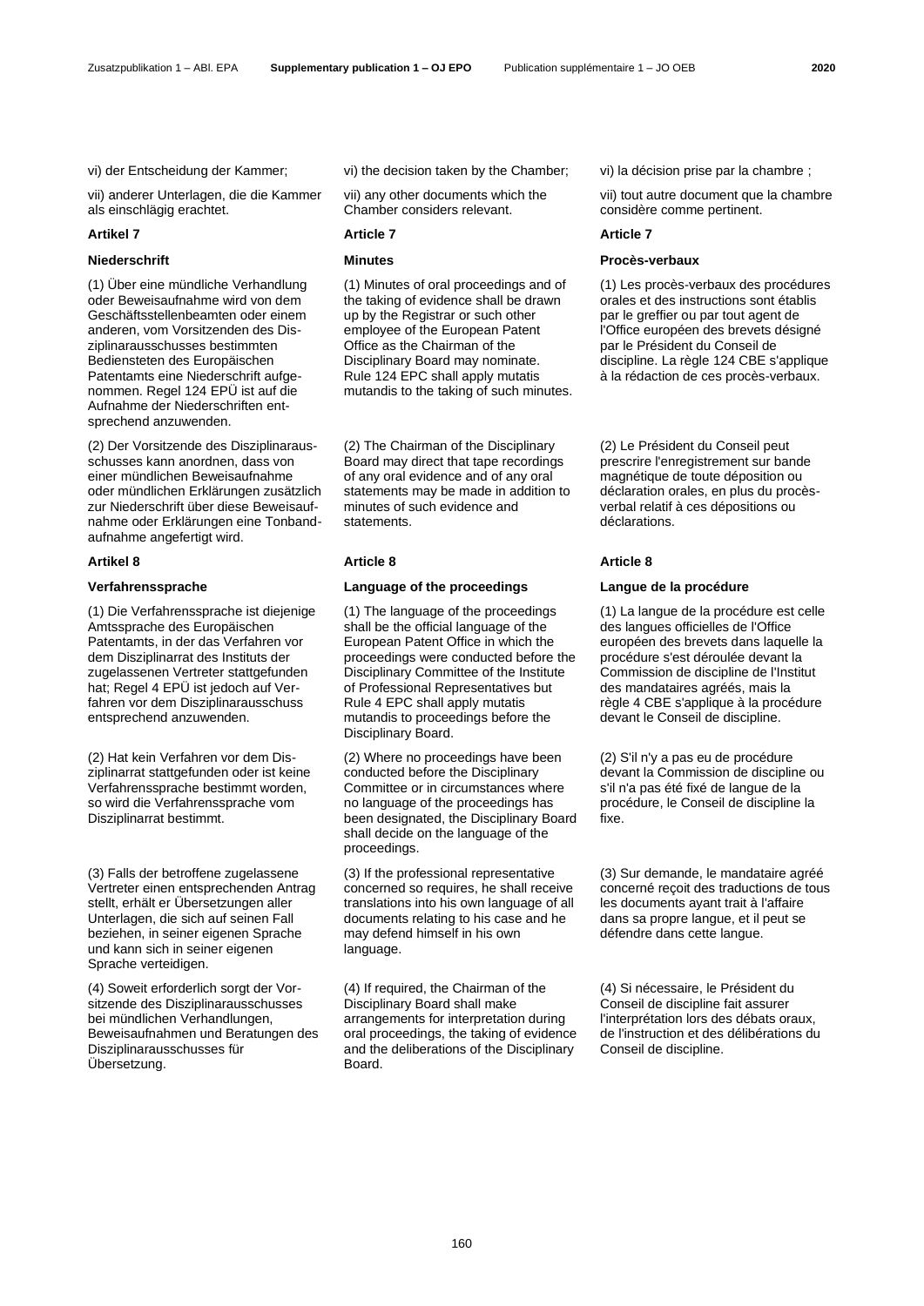vii) anderer Unterlagen, die die Kammer als einschlägig erachtet.

## **Artikel 7 Article 7 Article 7**

(1) Über eine mündliche Verhandlung oder Beweisaufnahme wird von dem Geschäftsstellenbeamten oder einem anderen, vom Vorsitzenden des Disziplinarausschusses bestimmten Bediensteten des Europäischen Patentamts eine Niederschrift aufgenommen. Regel 124 EPÜ ist auf die Aufnahme der Niederschriften entsprechend anzuwenden.

(2) Der Vorsitzende des Disziplinarausschusses kann anordnen, dass von einer mündlichen Beweisaufnahme oder mündlichen Erklärungen zusätzlich zur Niederschrift über diese Beweisaufnahme oder Erklärungen eine Tonbandaufnahme angefertigt wird.

(1) Die Verfahrenssprache ist diejenige Amtssprache des Europäischen Patentamts, in der das Verfahren vor dem Disziplinarrat des Instituts der zugelassenen Vertreter stattgefunden hat; Regel 4 EPÜ ist jedoch auf Verfahren vor dem Disziplinarausschuss entsprechend anzuwenden.

(2) Hat kein Verfahren vor dem Disziplinarrat stattgefunden oder ist keine Verfahrenssprache bestimmt worden, so wird die Verfahrenssprache vom Disziplinarrat bestimmt.

(3) Falls der betroffene zugelassene Vertreter einen entsprechenden Antrag stellt, erhält er Übersetzungen aller Unterlagen, die sich auf seinen Fall beziehen, in seiner eigenen Sprache und kann sich in seiner eigenen Sprache verteidigen.

(4) Soweit erforderlich sorgt der Vorsitzende des Disziplinarausschusses bei mündlichen Verhandlungen, Beweisaufnahmen und Beratungen des Disziplinarausschusses für Übersetzung.

vi) der Entscheidung der Kammer; vi) the decision taken by the Chamber; vi) la décision prise par la chambre ;

vii) any other documents which the Chamber considers relevant.

(1) Minutes of oral proceedings and of the taking of evidence shall be drawn up by the Registrar or such other employee of the European Patent Office as the Chairman of the Disciplinary Board may nominate. Rule 124 EPC shall apply mutatis mutandis to the taking of such minutes.

(2) The Chairman of the Disciplinary Board may direct that tape recordings of any oral evidence and of any oral statements may be made in addition to minutes of such evidence and statements.

### **Artikel 8 Article 8 Article 8**

## **Verfahrenssprache Language of the proceedings Langue de la procédure**

(1) The language of the proceedings shall be the official language of the European Patent Office in which the proceedings were conducted before the Disciplinary Committee of the Institute of Professional Representatives but Rule 4 EPC shall apply mutatis mutandis to proceedings before the Disciplinary Board.

(2) Where no proceedings have been conducted before the Disciplinary Committee or in circumstances where no language of the proceedings has been designated, the Disciplinary Board shall decide on the language of the proceedings.

(3) If the professional representative concerned so requires, he shall receive translations into his own language of all documents relating to his case and he may defend himself in his own language.

(4) If required, the Chairman of the Disciplinary Board shall make arrangements for interpretation during oral proceedings, the taking of evidence and the deliberations of the Disciplinary Board.

vii) tout autre document que la chambre considère comme pertinent.

## **Niederschrift Minutes Procès-verbaux**

(1) Les procès-verbaux des procédures orales et des instructions sont établis par le greffier ou par tout agent de l'Office européen des brevets désigné par le Président du Conseil de discipline. La règle 124 CBE s'applique à la rédaction de ces procès-verbaux.

(2) Le Président du Conseil peut prescrire l'enregistrement sur bande magnétique de toute déposition ou déclaration orales, en plus du procèsverbal relatif à ces dépositions ou déclarations.

(1) La langue de la procédure est celle des langues officielles de l'Office européen des brevets dans laquelle la procédure s'est déroulée devant la Commission de discipline de l'Institut des mandataires agréés, mais la règle 4 CBE s'applique à la procédure devant le Conseil de discipline.

(2) S'il n'y a pas eu de procédure devant la Commission de discipline ou s'il n'a pas été fixé de langue de la procédure, le Conseil de discipline la fixe.

(3) Sur demande, le mandataire agréé concerné reçoit des traductions de tous les documents ayant trait à l'affaire dans sa propre langue, et il peut se défendre dans cette langue.

(4) Si nécessaire, le Président du Conseil de discipline fait assurer l'interprétation lors des débats oraux, de l'instruction et des délibérations du Conseil de discipline.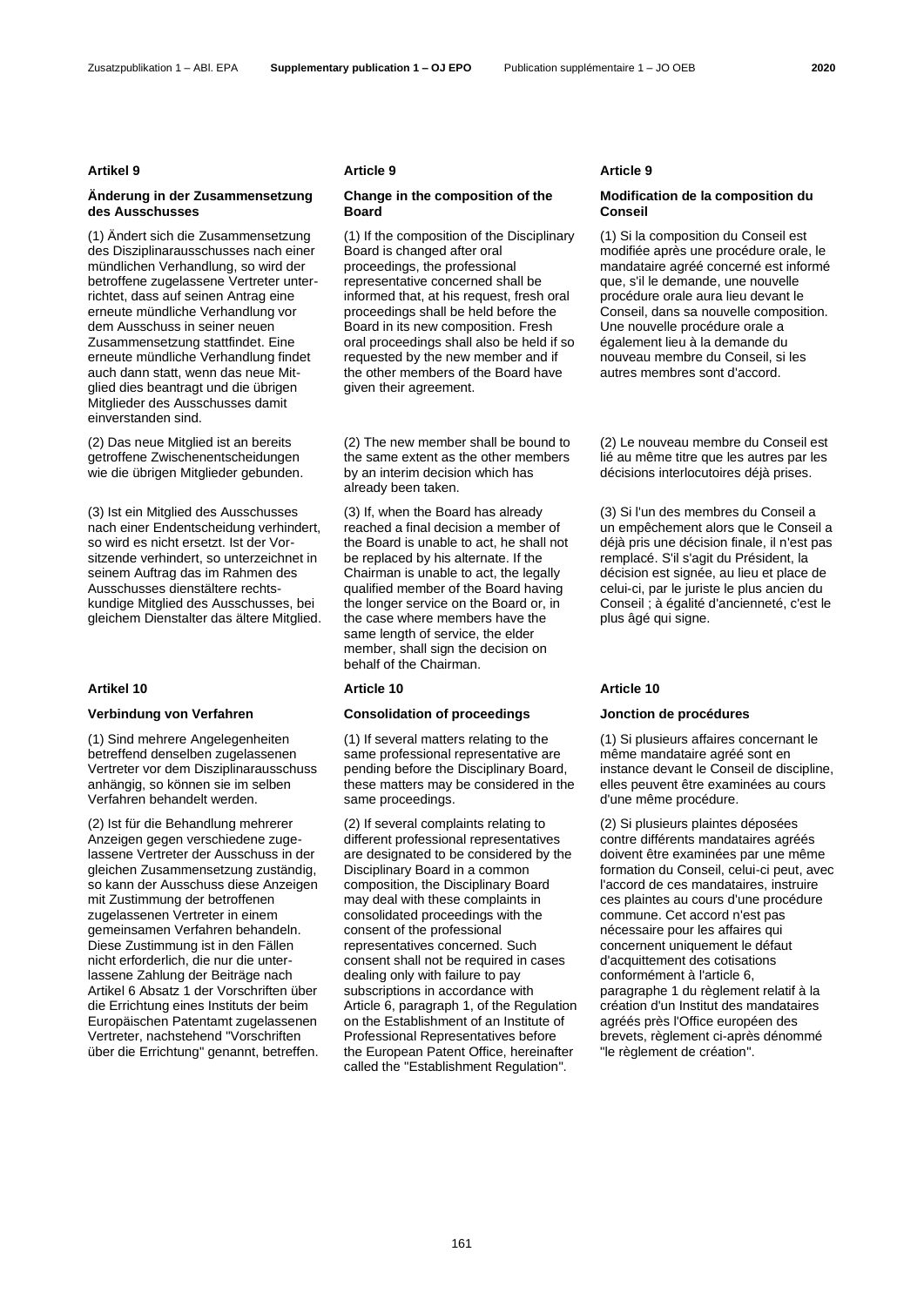### Zusatzpublikation 1 – ABl. EPA **Supplementary publication 1 – OJ EPO** Publication supplémentaire 1 – JO OEB **2020**

## **Änderung in der Zusammensetzung des Ausschusses**

(1) Ändert sich die Zusammensetzung des Disziplinarausschusses nach einer mündlichen Verhandlung, so wird der betroffene zugelassene Vertreter unterrichtet, dass auf seinen Antrag eine erneute mündliche Verhandlung vor dem Ausschuss in seiner neuen Zusammensetzung stattfindet. Eine erneute mündliche Verhandlung findet auch dann statt, wenn das neue Mitglied dies beantragt und die übrigen Mitglieder des Ausschusses damit einverstanden sind.

(2) Das neue Mitglied ist an bereits getroffene Zwischenentscheidungen wie die übrigen Mitglieder gebunden.

(3) Ist ein Mitglied des Ausschusses nach einer Endentscheidung verhindert, so wird es nicht ersetzt. Ist der Vorsitzende verhindert, so unterzeichnet in seinem Auftrag das im Rahmen des Ausschusses dienstältere rechtskundige Mitglied des Ausschusses, bei gleichem Dienstalter das ältere Mitglied.

(1) Sind mehrere Angelegenheiten betreffend denselben zugelassenen Vertreter vor dem Disziplinarausschuss anhängig, so können sie im selben Verfahren behandelt werden.

(2) Ist für die Behandlung mehrerer Anzeigen gegen verschiedene zugelassene Vertreter der Ausschuss in der gleichen Zusammensetzung zuständig, so kann der Ausschuss diese Anzeigen mit Zustimmung der betroffenen zugelassenen Vertreter in einem gemeinsamen Verfahren behandeln. Diese Zustimmung ist in den Fällen nicht erforderlich, die nur die unterlassene Zahlung der Beiträge nach Artikel 6 Absatz 1 der Vorschriften über die Errichtung eines Instituts der beim Europäischen Patentamt zugelassenen Vertreter, nachstehend "Vorschriften über die Errichtung" genannt, betreffen.

## **Change in the composition of the Board**

(1) If the composition of the Disciplinary Board is changed after oral proceedings, the professional representative concerned shall be informed that, at his request, fresh oral proceedings shall be held before the Board in its new composition. Fresh oral proceedings shall also be held if so requested by the new member and if the other members of the Board have given their agreement.

(2) The new member shall be bound to the same extent as the other members by an interim decision which has already been taken.

(3) If, when the Board has already reached a final decision a member of the Board is unable to act, he shall not be replaced by his alternate. If the Chairman is unable to act, the legally qualified member of the Board having the longer service on the Board or, in the case where members have the same length of service, the elder member, shall sign the decision on behalf of the Chairman.

## **Verbindung von Verfahren Consolidation of proceedings Jonction de procédures**

(1) If several matters relating to the same professional representative are pending before the Disciplinary Board, these matters may be considered in the same proceedings.

(2) If several complaints relating to different professional representatives are designated to be considered by the Disciplinary Board in a common composition, the Disciplinary Board may deal with these complaints in consolidated proceedings with the consent of the professional representatives concerned. Such consent shall not be required in cases dealing only with failure to pay subscriptions in accordance with Article 6, paragraph 1, of the Regulation on the Establishment of an Institute of Professional Representatives before the European Patent Office, hereinafter called the "Establishment Regulation".

### **Artikel 9 Article 9 Article 9**

## **Modification de la composition du Conseil**

(1) Si la composition du Conseil est modifiée après une procédure orale, le mandataire agréé concerné est informé que, s'il le demande, une nouvelle procédure orale aura lieu devant le Conseil, dans sa nouvelle composition. Une nouvelle procédure orale a également lieu à la demande du nouveau membre du Conseil, si les autres membres sont d'accord.

(2) Le nouveau membre du Conseil est lié au même titre que les autres par les décisions interlocutoires déjà prises.

(3) Si l'un des membres du Conseil a un empêchement alors que le Conseil a déjà pris une décision finale, il n'est pas remplacé. S'il s'agit du Président, la décision est signée, au lieu et place de celui-ci, par le juriste le plus ancien du Conseil ; à égalité d'ancienneté, c'est le plus âgé qui signe.

## **Artikel 10 Article 10 Article 10**

(1) Si plusieurs affaires concernant le même mandataire agréé sont en instance devant le Conseil de discipline, elles peuvent être examinées au cours d'une même procédure.

(2) Si plusieurs plaintes déposées contre différents mandataires agréés doivent être examinées par une même formation du Conseil, celui-ci peut, avec l'accord de ces mandataires, instruire ces plaintes au cours d'une procédure commune. Cet accord n'est pas nécessaire pour les affaires qui concernent uniquement le défaut d'acquittement des cotisations conformément à l'article 6, paragraphe 1 du règlement relatif à la création d'un Institut des mandataires agréés près l'Office européen des brevets, règlement ci-après dénommé "le règlement de création".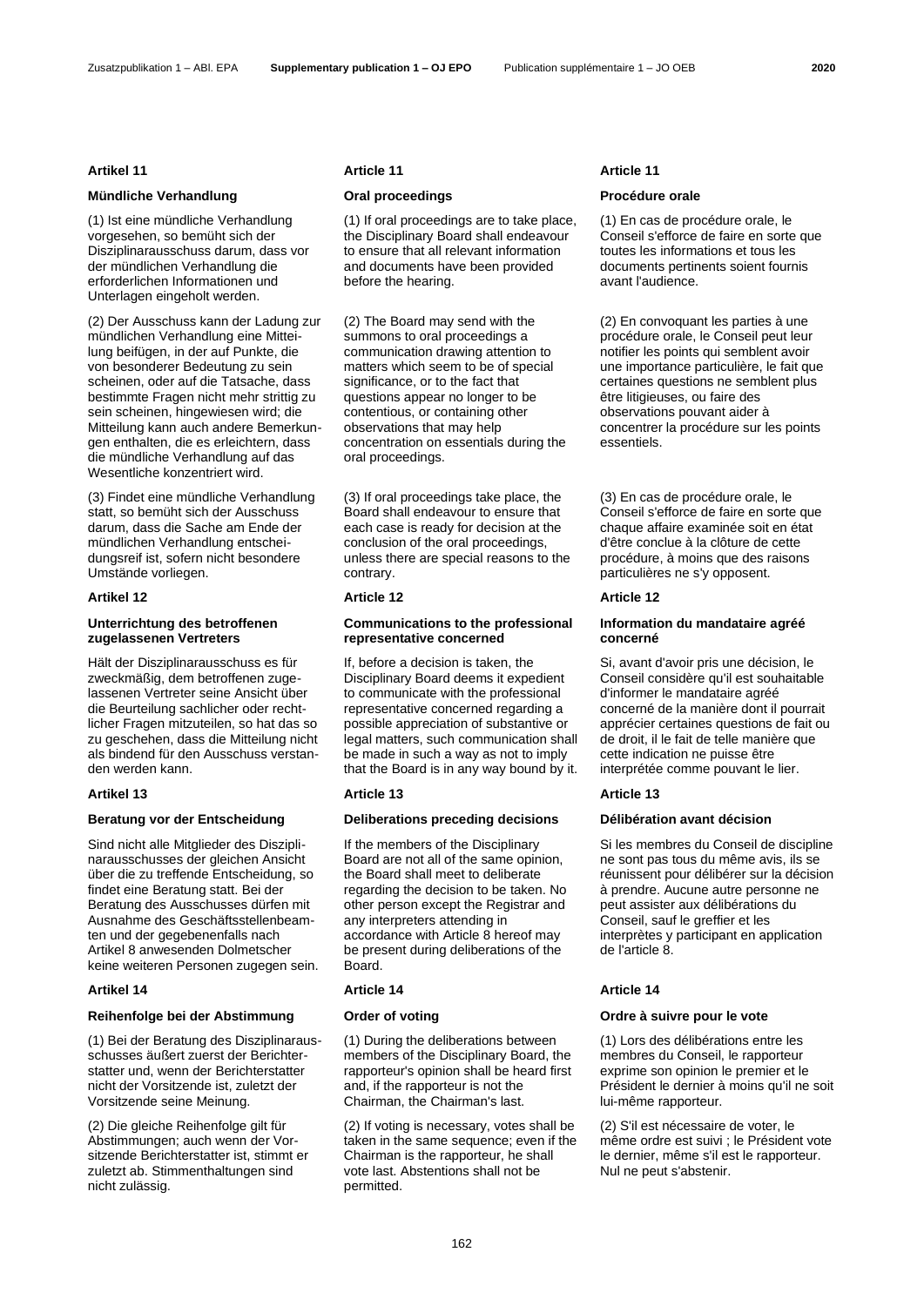### Zusatzpublikation 1 – ABl. EPA **Supplementary publication 1 – OJ EPO** Publication supplémentaire 1 – JO OEB **2020**

## **Mündliche Verhandlung Oral proceedings Procédure orale**

(1) Ist eine mündliche Verhandlung vorgesehen, so bemüht sich der Disziplinarausschuss darum, dass vor der mündlichen Verhandlung die erforderlichen Informationen und Unterlagen eingeholt werden.

(2) Der Ausschuss kann der Ladung zur mündlichen Verhandlung eine Mitteilung beifügen, in der auf Punkte, die von besonderer Bedeutung zu sein scheinen, oder auf die Tatsache, dass bestimmte Fragen nicht mehr strittig zu sein scheinen, hingewiesen wird; die Mitteilung kann auch andere Bemerkungen enthalten, die es erleichtern, dass die mündliche Verhandlung auf das Wesentliche konzentriert wird.

(3) Findet eine mündliche Verhandlung statt, so bemüht sich der Ausschuss darum, dass die Sache am Ende der mündlichen Verhandlung entscheidungsreif ist, sofern nicht besondere Umstände vorliegen.

### **Artikel 12 Article 12 Article 12**

# **Unterrichtung des betroffenen zugelassenen Vertreters**

Hält der Disziplinarausschuss es für zweckmäßig, dem betroffenen zugelassenen Vertreter seine Ansicht über die Beurteilung sachlicher oder rechtlicher Fragen mitzuteilen, so hat das so zu geschehen, dass die Mitteilung nicht als bindend für den Ausschuss verstanden werden kann.

## **Artikel 13 Article 13 Article 13**

# **Beratung vor der Entscheidung Deliberations preceding decisions Délibération avant décision**

Sind nicht alle Mitglieder des Disziplinarausschusses der gleichen Ansicht über die zu treffende Entscheidung, so findet eine Beratung statt. Bei der Beratung des Ausschusses dürfen mit Ausnahme des Geschäftsstellenbeamten und der gegebenenfalls nach Artikel 8 anwesenden Dolmetscher keine weiteren Personen zugegen sein.

## **Artikel 14 Article 14 Article 14**

## **Reihenfolge bei der Abstimmung Order of voting Ordre à suivre pour le vote**

(1) Bei der Beratung des Disziplinarausschusses äußert zuerst der Berichterstatter und, wenn der Berichterstatter nicht der Vorsitzende ist, zuletzt der Vorsitzende seine Meinung.

(2) Die gleiche Reihenfolge gilt für Abstimmungen; auch wenn der Vorsitzende Berichterstatter ist, stimmt er zuletzt ab. Stimmenthaltungen sind nicht zulässig.

## **Artikel 11 Article 11 Article 11**

(1) If oral proceedings are to take place, the Disciplinary Board shall endeavour to ensure that all relevant information and documents have been provided before the hearing.

(2) The Board may send with the summons to oral proceedings a communication drawing attention to matters which seem to be of special significance, or to the fact that questions appear no longer to be contentious, or containing other observations that may help concentration on essentials during the oral proceedings.

(3) If oral proceedings take place, the Board shall endeavour to ensure that each case is ready for decision at the conclusion of the oral proceedings, unless there are special reasons to the contrary.

## **Communications to the professional representative concerned**

If, before a decision is taken, the Disciplinary Board deems it expedient to communicate with the professional representative concerned regarding a possible appreciation of substantive or legal matters, such communication shall be made in such a way as not to imply that the Board is in any way bound by it.

If the members of the Disciplinary Board are not all of the same opinion, the Board shall meet to deliberate regarding the decision to be taken. No other person except the Registrar and any interpreters attending in accordance with Article 8 hereof may be present during deliberations of the Board.

(1) During the deliberations between members of the Disciplinary Board, the rapporteur's opinion shall be heard first and, if the rapporteur is not the Chairman, the Chairman's last.

(2) If voting is necessary, votes shall be taken in the same sequence; even if the Chairman is the rapporteur, he shall vote last. Abstentions shall not be permitted.

(1) En cas de procédure orale, le Conseil s'efforce de faire en sorte que toutes les informations et tous les documents pertinents soient fournis avant l'audience.

(2) En convoquant les parties à une procédure orale, le Conseil peut leur notifier les points qui semblent avoir une importance particulière, le fait que certaines questions ne semblent plus être litigieuses, ou faire des observations pouvant aider à concentrer la procédure sur les points essentiels.

(3) En cas de procédure orale, le Conseil s'efforce de faire en sorte que chaque affaire examinée soit en état d'être conclue à la clôture de cette procédure, à moins que des raisons particulières ne s'y opposent.

## **Information du mandataire agréé concerné**

Si, avant d'avoir pris une décision, le Conseil considère qu'il est souhaitable d'informer le mandataire agréé concerné de la manière dont il pourrait apprécier certaines questions de fait ou de droit, il le fait de telle manière que cette indication ne puisse être interprétée comme pouvant le lier.

Si les membres du Conseil de discipline ne sont pas tous du même avis, ils se réunissent pour délibérer sur la décision à prendre. Aucune autre personne ne peut assister aux délibérations du Conseil, sauf le greffier et les interprètes y participant en application de l'article 8.

(1) Lors des délibérations entre les membres du Conseil, le rapporteur exprime son opinion le premier et le Président le dernier à moins qu'il ne soit lui-même rapporteur.

(2) S'il est nécessaire de voter, le même ordre est suivi ; le Président vote le dernier, même s'il est le rapporteur. Nul ne peut s'abstenir.